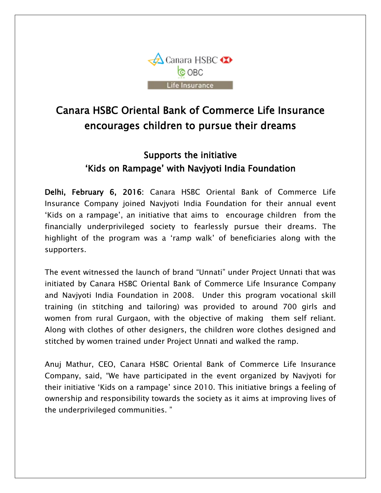

# Canara HSBC Oriental Bank of Commerce Life Insurance encourages children to pursue their dreams

# Supports the initiative 'Kids on Rampage' with Navjyoti India Foundation

Delhi, February 6, 2016: Canara HSBC Oriental Bank of Commerce Life Insurance Company joined Navjyoti India Foundation for their annual event 'Kids on a rampage', an initiative that aims to encourage children from the financially underprivileged society to fearlessly pursue their dreams. The highlight of the program was a 'ramp walk' of beneficiaries along with the supporters.

The event witnessed the launch of brand "Unnati" under Project Unnati that was initiated by Canara HSBC Oriental Bank of Commerce Life Insurance Company and Navjyoti India Foundation in 2008. Under this program vocational skill training (in stitching and tailoring) was provided to around 700 girls and women from rural Gurgaon, with the objective of making them self reliant. Along with clothes of other designers, the children wore clothes designed and stitched by women trained under Project Unnati and walked the ramp.

Anuj Mathur, CEO, Canara HSBC Oriental Bank of Commerce Life Insurance Company, said, "We have participated in the event organized by Navjyoti for their initiative 'Kids on a rampage' since 2010. This initiative brings a feeling of ownership and responsibility towards the society as it aims at improving lives of the underprivileged communities. "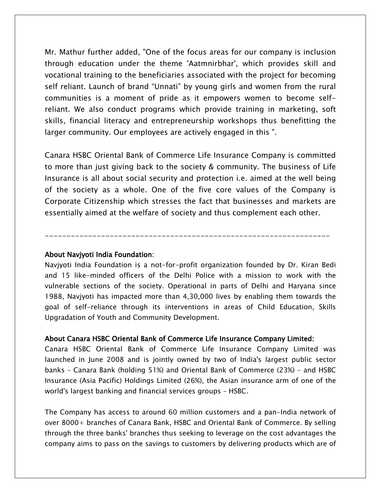Mr. Mathur further added, "One of the focus areas for our company is inclusion through education under the theme 'Aatmnirbhar', which provides skill and vocational training to the beneficiaries associated with the project for becoming self reliant. Launch of brand "Unnati" by young girls and women from the rural communities is a moment of pride as it empowers women to become selfreliant. We also conduct programs which provide training in marketing, soft skills, financial literacy and entrepreneurship workshops thus benefitting the larger community. Our employees are actively engaged in this ".

Canara HSBC Oriental Bank of Commerce Life Insurance Company is committed to more than just giving back to the society & community. The business of Life Insurance is all about social security and protection i.e. aimed at the well being of the society as a whole. One of the five core values of the Company is Corporate Citizenship which stresses the fact that businesses and markets are essentially aimed at the welfare of society and thus complement each other.

------------------------------------------------------------------

#### About Navjyoti India Foundation:

Navjyoti India Foundation is a not-for-profit organization founded by Dr. Kiran Bedi and 15 like-minded officers of the Delhi Police with a mission to work with the vulnerable sections of the society. Operational in parts of Delhi and Haryana since 1988, Navjyoti has impacted more than 4,30,000 lives by enabling them towards the goal of self-reliance through its interventions in areas of Child Education, Skills Upgradation of Youth and Community Development.

#### About Canara HSBC Oriental Bank of Commerce Life Insurance Company Limited:

Canara HSBC Oriental Bank of Commerce Life Insurance Company Limited was launched in June 2008 and is jointly owned by two of India's largest public sector banks – Canara Bank (holding 51%) and Oriental Bank of Commerce (23%) – and HSBC Insurance (Asia Pacific) Holdings Limited (26%), the Asian insurance arm of one of the world's largest banking and financial services groups – HSBC.

The Company has access to around 60 million customers and a pan-India network of over 8000+ branches of Canara Bank, HSBC and Oriental Bank of Commerce. By selling through the three banks' branches thus seeking to leverage on the cost advantages the company aims to pass on the savings to customers by delivering products which are of